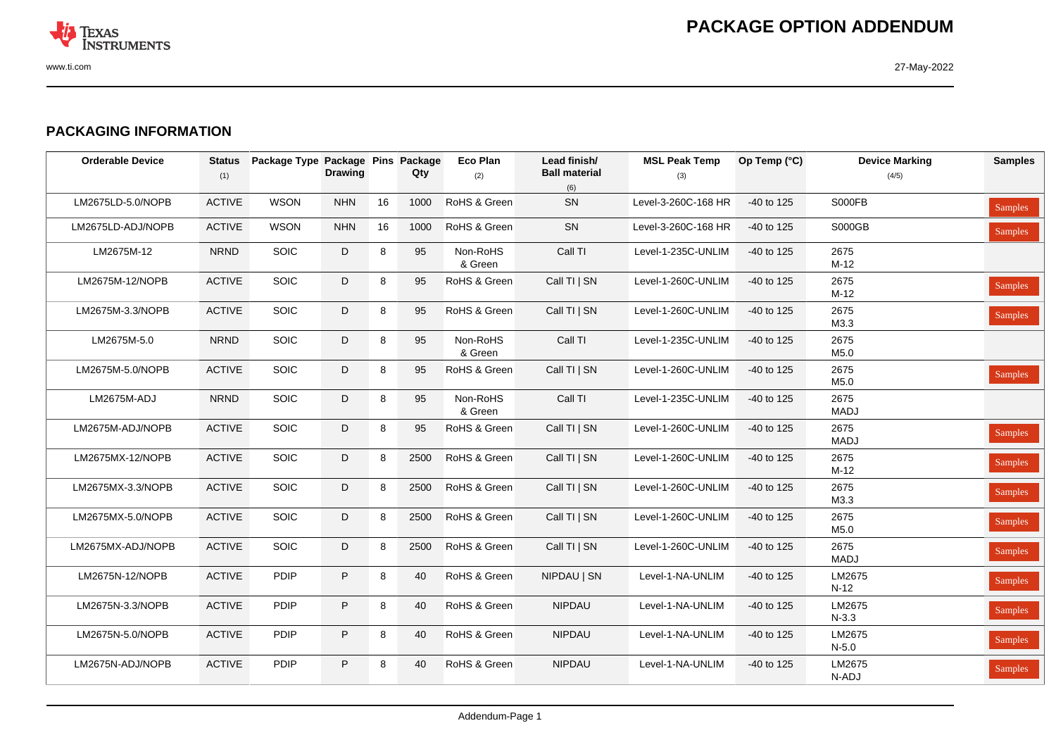

## **PACKAGING INFORMATION**

| <b>Orderable Device</b> | <b>Status</b><br>(1) | Package Type Package Pins Package | <b>Drawing</b> |    | Qty  | <b>Eco Plan</b><br>(2) | Lead finish/<br><b>Ball material</b><br>(6) | <b>MSL Peak Temp</b><br>(3) | Op Temp (°C) | <b>Device Marking</b><br>(4/5) | <b>Samples</b> |
|-------------------------|----------------------|-----------------------------------|----------------|----|------|------------------------|---------------------------------------------|-----------------------------|--------------|--------------------------------|----------------|
| LM2675LD-5.0/NOPB       | <b>ACTIVE</b>        | <b>WSON</b>                       | <b>NHN</b>     | 16 | 1000 | RoHS & Green           | SN                                          | Level-3-260C-168 HR         | -40 to 125   | <b>S000FB</b>                  | <b>Samples</b> |
| LM2675LD-ADJ/NOPB       | <b>ACTIVE</b>        | <b>WSON</b>                       | <b>NHN</b>     | 16 | 1000 | RoHS & Green           | SN                                          | Level-3-260C-168 HR         | -40 to 125   | <b>S000GB</b>                  | Samples        |
| LM2675M-12              | <b>NRND</b>          | SOIC                              | D              | 8  | 95   | Non-RoHS<br>& Green    | Call TI                                     | Level-1-235C-UNLIM          | -40 to 125   | 2675<br>$M-12$                 |                |
| LM2675M-12/NOPB         | <b>ACTIVE</b>        | SOIC                              | D              | 8  | 95   | RoHS & Green           | Call TI   SN                                | Level-1-260C-UNLIM          | -40 to 125   | 2675<br>$M-12$                 | Samples        |
| LM2675M-3.3/NOPB        | <b>ACTIVE</b>        | SOIC                              | D              | 8  | 95   | RoHS & Green           | Call TI   SN                                | Level-1-260C-UNLIM          | -40 to 125   | 2675<br>M3.3                   | <b>Samples</b> |
| LM2675M-5.0             | <b>NRND</b>          | SOIC                              | D              | 8  | 95   | Non-RoHS<br>& Green    | Call TI                                     | Level-1-235C-UNLIM          | $-40$ to 125 | 2675<br>M5.0                   |                |
| LM2675M-5.0/NOPB        | <b>ACTIVE</b>        | <b>SOIC</b>                       | D              | 8  | 95   | RoHS & Green           | Call TI   SN                                | Level-1-260C-UNLIM          | -40 to 125   | 2675<br>M5.0                   | Samples        |
| LM2675M-ADJ             | <b>NRND</b>          | <b>SOIC</b>                       | D              | 8  | 95   | Non-RoHS<br>& Green    | Call TI                                     | Level-1-235C-UNLIM          | -40 to 125   | 2675<br>MADJ                   |                |
| LM2675M-ADJ/NOPB        | <b>ACTIVE</b>        | SOIC                              | D              | 8  | 95   | RoHS & Green           | Call TI   SN                                | Level-1-260C-UNLIM          | -40 to 125   | 2675<br><b>MADJ</b>            | Samples        |
| LM2675MX-12/NOPB        | <b>ACTIVE</b>        | <b>SOIC</b>                       | D              | 8  | 2500 | RoHS & Green           | Call TI   SN                                | Level-1-260C-UNLIM          | -40 to 125   | 2675<br>$M-12$                 | Samples        |
| LM2675MX-3.3/NOPB       | <b>ACTIVE</b>        | SOIC                              | D              | 8  | 2500 | RoHS & Green           | Call TI   SN                                | Level-1-260C-UNLIM          | -40 to 125   | 2675<br>M3.3                   | <b>Samples</b> |
| LM2675MX-5.0/NOPB       | <b>ACTIVE</b>        | <b>SOIC</b>                       | D              | 8  | 2500 | RoHS & Green           | Call TI   SN                                | Level-1-260C-UNLIM          | -40 to 125   | 2675<br>M5.0                   | <b>Samples</b> |
| LM2675MX-ADJ/NOPB       | <b>ACTIVE</b>        | SOIC                              | D              | 8  | 2500 | RoHS & Green           | Call TI   SN                                | Level-1-260C-UNLIM          | -40 to 125   | 2675<br><b>MADJ</b>            | <b>Samples</b> |
| LM2675N-12/NOPB         | <b>ACTIVE</b>        | <b>PDIP</b>                       | P              | 8  | 40   | RoHS & Green           | NIPDAU   SN                                 | Level-1-NA-UNLIM            | -40 to 125   | LM2675<br>$N-12$               | Samples        |
| LM2675N-3.3/NOPB        | <b>ACTIVE</b>        | <b>PDIP</b>                       | P              | 8  | 40   | RoHS & Green           | <b>NIPDAU</b>                               | Level-1-NA-UNLIM            | -40 to 125   | LM2675<br>$N-3.3$              | Samples        |
| LM2675N-5.0/NOPB        | <b>ACTIVE</b>        | <b>PDIP</b>                       | P              | 8  | 40   | RoHS & Green           | <b>NIPDAU</b>                               | Level-1-NA-UNLIM            | -40 to 125   | LM2675<br>$N-5.0$              | <b>Samples</b> |
| LM2675N-ADJ/NOPB        | <b>ACTIVE</b>        | <b>PDIP</b>                       | P              | 8  | 40   | RoHS & Green           | <b>NIPDAU</b>                               | Level-1-NA-UNLIM            | -40 to 125   | LM2675<br>N-ADJ                | Samples        |